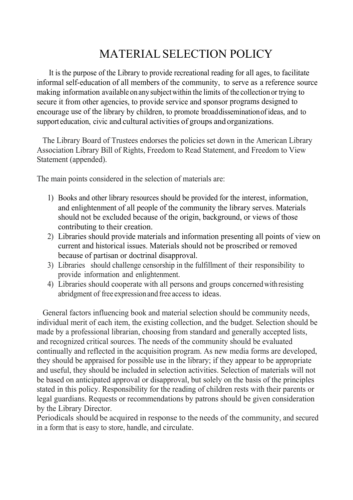# MATERIAL SELECTION POLICY

It is the purpose of the Library to provide recreational reading for all ages, to facilitate informal self-education of all members of the community, to serve as a reference source making information available on any subjectwithin the limits of the collection or trying to secure it from other agencies, to provide service and sponsor programs designed to encourage use of the library by children, to promote broad disseminationofideas, and to support education, civic and cultural activities of groups and organizations.

 The Library Board of Trustees endorses the policies set down in the American Library Association Library Bill of Rights, Freedom to Read Statement, and Freedom to View Statement (appended).

The main points considered in the selection of materials are:

- 1) Books and other library resources should be provided for the interest, information, and enlightenment of all people of the community the library serves. Materials should not be excluded because of the origin, background, or views of those contributing to their creation.
- 2) Libraries should provide materials and information presenting all points of view on current and historical issues. Materials should not be proscribed or removed because of partisan or doctrinal disapproval.
- 3) Libraries should challenge censorship in the fulfillment of their responsibility to provide information and enlightenment.
- 4) Libraries should cooperate with all persons and groups concerned withresisting abridgment of free expressionand free access to ideas.

 General factors influencing book and material selection should be community needs, individual merit of each item, the existing collection, and the budget. Selection should be made by a professional librarian, choosing from standard and generally accepted lists, and recognized critical sources. The needs of the community should be evaluated continually and reflected in the acquisition program. As new media forms are developed, they should be appraised for possible use in the library; if they appear to be appropriate and useful, they should be included in selection activities. Selection of materials will not be based on anticipated approval or disapproval, but solely on the basis of the principles stated in this policy. Responsibility for the reading of children rests with their parents or legal guardians. Requests or recommendations by patrons should be given consideration by the Library Director.

Periodicals should be acquired in response to the needs of the community, and secured in a form that is easy to store, handle, and circulate.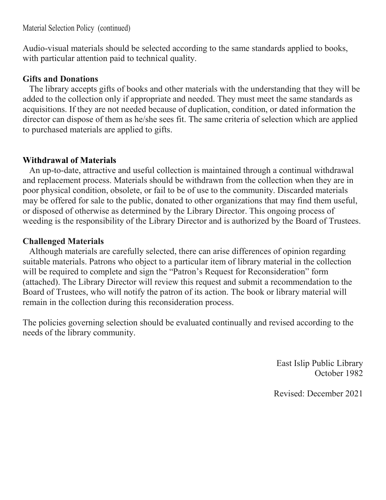Material Selection Policy (continued)

Audio-visual materials should be selected according to the same standards applied to books, with particular attention paid to technical quality.

## **Gifts and Donations**

 The library accepts gifts of books and other materials with the understanding that they will be added to the collection only if appropriate and needed. They must meet the same standards as acquisitions. If they are not needed because of duplication, condition, or dated information the director can dispose of them as he/she sees fit. The same criteria of selection which are applied to purchased materials are applied to gifts.

## **Withdrawal of Materials**

 An up-to-date, attractive and useful collection is maintained through a continual withdrawal and replacement process. Materials should be withdrawn from the collection when they are in poor physical condition, obsolete, or fail to be of use to the community. Discarded materials may be offered for sale to the public, donated to other organizations that may find them useful, or disposed of otherwise as determined by the Library Director. This ongoing process of weeding is the responsibility of the Library Director and is authorized by the Board of Trustees.

## **Challenged Materials**

 Although materials are carefully selected, there can arise differences of opinion regarding suitable materials. Patrons who object to a particular item of library material in the collection will be required to complete and sign the "Patron's Request for Reconsideration" form (attached). The Library Director will review this request and submit a recommendation to the Board of Trustees, who will notify the patron of its action. The book or library material will remain in the collection during this reconsideration process.

The policies governing selection should be evaluated continually and revised according to the needs of the library community.

> East Islip Public Library October 1982

Revised: December 2021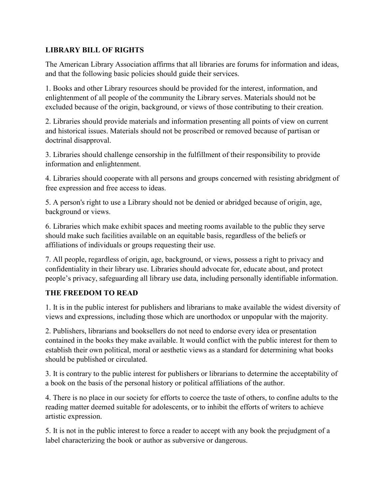#### **LIBRARY BILL OF RIGHTS**

The American Library Association affirms that all libraries are forums for information and ideas, and that the following basic policies should guide their services.

1. Books and other Library resources should be provided for the interest, information, and enlightenment of all people of the community the Library serves. Materials should not be excluded because of the origin, background, or views of those contributing to their creation.

2. Libraries should provide materials and information presenting all points of view on current and historical issues. Materials should not be proscribed or removed because of partisan or doctrinal disapproval.

3. Libraries should challenge censorship in the fulfillment of their responsibility to provide information and enlightenment.

4. Libraries should cooperate with all persons and groups concerned with resisting abridgment of free expression and free access to ideas.

5. A person's right to use a Library should not be denied or abridged because of origin, age, background or views.

6. Libraries which make exhibit spaces and meeting rooms available to the public they serve should make such facilities available on an equitable basis, regardless of the beliefs or affiliations of individuals or groups requesting their use.

7. All people, regardless of origin, age, background, or views, possess a right to privacy and confidentiality in their library use. Libraries should advocate for, educate about, and protect people's privacy, safeguarding all library use data, including personally identifiable information.

#### **THE FREEDOM TO READ**

1. It is in the public interest for publishers and librarians to make available the widest diversity of views and expressions, including those which are unorthodox or unpopular with the majority.

2. Publishers, librarians and booksellers do not need to endorse every idea or presentation contained in the books they make available. It would conflict with the public interest for them to establish their own political, moral or aesthetic views as a standard for determining what books should be published or circulated.

3. It is contrary to the public interest for publishers or librarians to determine the acceptability of a book on the basis of the personal history or political affiliations of the author.

4. There is no place in our society for efforts to coerce the taste of others, to confine adults to the reading matter deemed suitable for adolescents, or to inhibit the efforts of writers to achieve artistic expression.

5. It is not in the public interest to force a reader to accept with any book the prejudgment of a label characterizing the book or author as subversive or dangerous.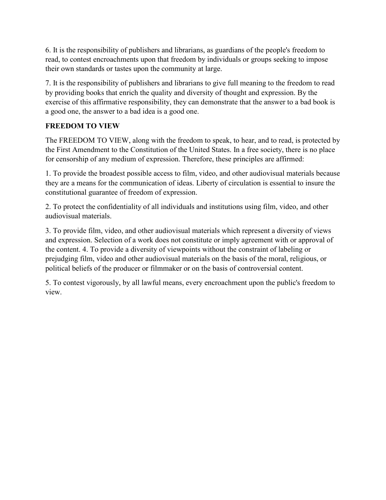6. It is the responsibility of publishers and librarians, as guardians of the people's freedom to read, to contest encroachments upon that freedom by individuals or groups seeking to impose their own standards or tastes upon the community at large.

7. It is the responsibility of publishers and librarians to give full meaning to the freedom to read by providing books that enrich the quality and diversity of thought and expression. By the exercise of this affirmative responsibility, they can demonstrate that the answer to a bad book is a good one, the answer to a bad idea is a good one.

### **FREEDOM TO VIEW**

The FREEDOM TO VIEW, along with the freedom to speak, to hear, and to read, is protected by the First Amendment to the Constitution of the United States. In a free society, there is no place for censorship of any medium of expression. Therefore, these principles are affirmed:

1. To provide the broadest possible access to film, video, and other audiovisual materials because they are a means for the communication of ideas. Liberty of circulation is essential to insure the constitutional guarantee of freedom of expression.

2. To protect the confidentiality of all individuals and institutions using film, video, and other audiovisual materials.

3. To provide film, video, and other audiovisual materials which represent a diversity of views and expression. Selection of a work does not constitute or imply agreement with or approval of the content. 4. To provide a diversity of viewpoints without the constraint of labeling or prejudging film, video and other audiovisual materials on the basis of the moral, religious, or political beliefs of the producer or filmmaker or on the basis of controversial content.

5. To contest vigorously, by all lawful means, every encroachment upon the public's freedom to view.